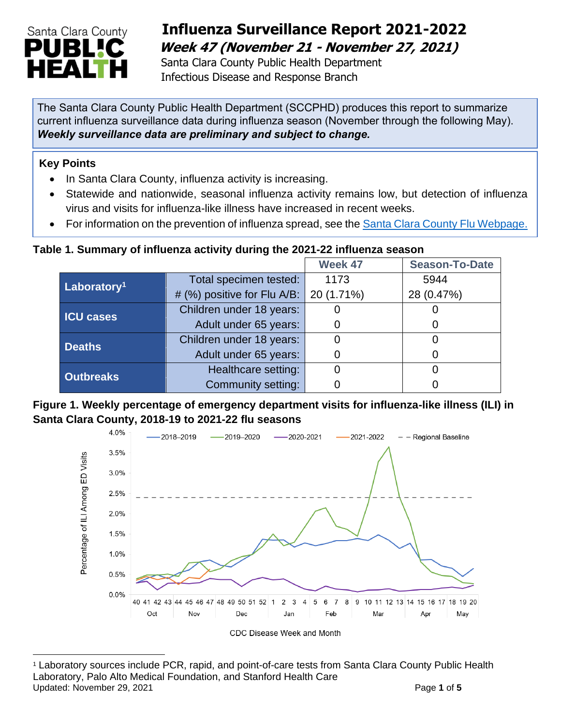

## **Influenza Surveillance Report 2021-2022 Week 47 (November 21 - November 27, 2021)**

Santa Clara County Public Health Department Infectious Disease and Response Branch

The Santa Clara County Public Health Department (SCCPHD) produces this report to summarize current influenza surveillance data during influenza season (November through the following May). *Weekly surveillance data are preliminary and subject to change.* 

### **Key Points**

- In Santa Clara County, influenza activity is increasing.
- Statewide and nationwide, seasonal influenza activity remains low, but detection of influenza virus and visits for influenza-like illness have increased in recent weeks.
- For information on the prevention of influenza spread, see the [Santa Clara County Flu Webpage.](https://publichealth.sccgov.org/disease-information/influenza-flu)

### **Table 1. Summary of influenza activity during the 2021-22 influenza season**

|                         |                             | Week 47    | <b>Season-To-Date</b> |
|-------------------------|-----------------------------|------------|-----------------------|
| Laboratory <sup>1</sup> | Total specimen tested:      | 1173       | 5944                  |
|                         | # (%) positive for Flu A/B: | 20 (1.71%) | 28 (0.47%)            |
| <b>ICU cases</b>        | Children under 18 years:    |            |                       |
|                         | Adult under 65 years:       |            |                       |
| <b>Deaths</b>           | Children under 18 years:    |            |                       |
|                         | Adult under 65 years:       |            |                       |
| <b>Outbreaks</b>        | Healthcare setting:         |            |                       |
|                         | Community setting:          |            |                       |

### **Figure 1. Weekly percentage of emergency department visits for influenza-like illness (ILI) in Santa Clara County, 2018-19 to 2021-22 flu seasons**



Updated: November 29, 2021 **Page 1** of 5 <sup>1</sup> Laboratory sources include PCR, rapid, and point-of-care tests from Santa Clara County Public Health Laboratory, Palo Alto Medical Foundation, and Stanford Health Care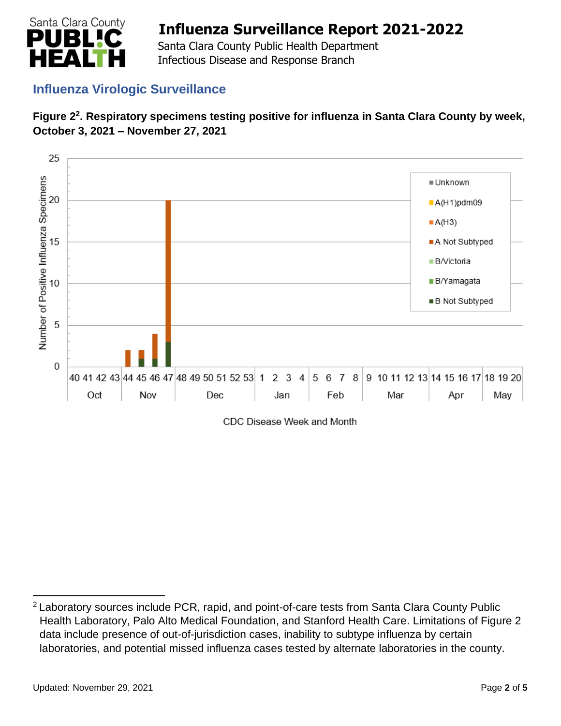

 Santa Clara County Public Health Department Infectious Disease and Response Branch

## **Influenza Virologic Surveillance**





CDC Disease Week and Month

<sup>&</sup>lt;sup>2</sup> Laboratory sources include PCR, rapid, and point-of-care tests from Santa Clara County Public Health Laboratory, Palo Alto Medical Foundation, and Stanford Health Care. Limitations of Figure 2 data include presence of out-of-jurisdiction cases, inability to subtype influenza by certain laboratories, and potential missed influenza cases tested by alternate laboratories in the county.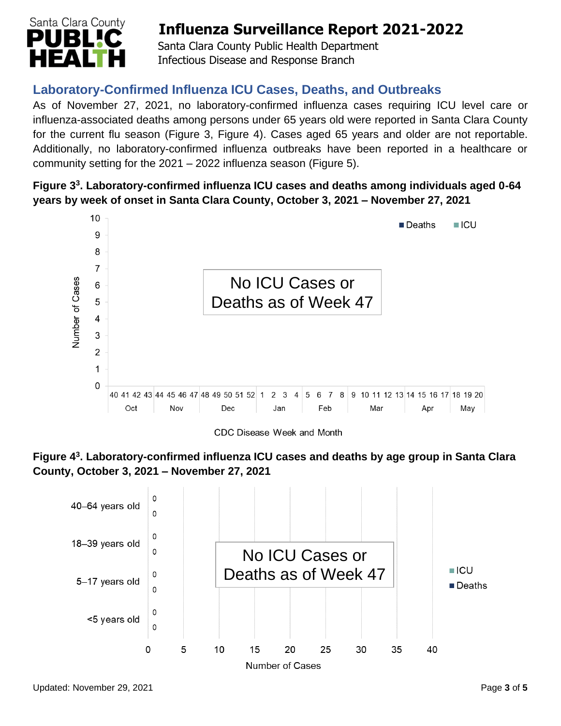

Santa Clara County Public Health Department Infectious Disease and Response Branch

## **Laboratory-Confirmed Influenza ICU Cases, Deaths, and Outbreaks**

As of November 27, 2021, no laboratory-confirmed influenza cases requiring ICU level care or influenza-associated deaths among persons under 65 years old were reported in Santa Clara County for the current flu season (Figure 3, Figure 4). Cases aged 65 years and older are not reportable. Additionally, no laboratory-confirmed influenza outbreaks have been reported in a healthcare or community setting for the 2021 – 2022 influenza season (Figure 5).

### **Figure 3 3 . Laboratory-confirmed influenza ICU cases and deaths among individuals aged 0-64 years by week of onset in Santa Clara County, October 3, 2021 – November 27, 2021**



CDC Disease Week and Month



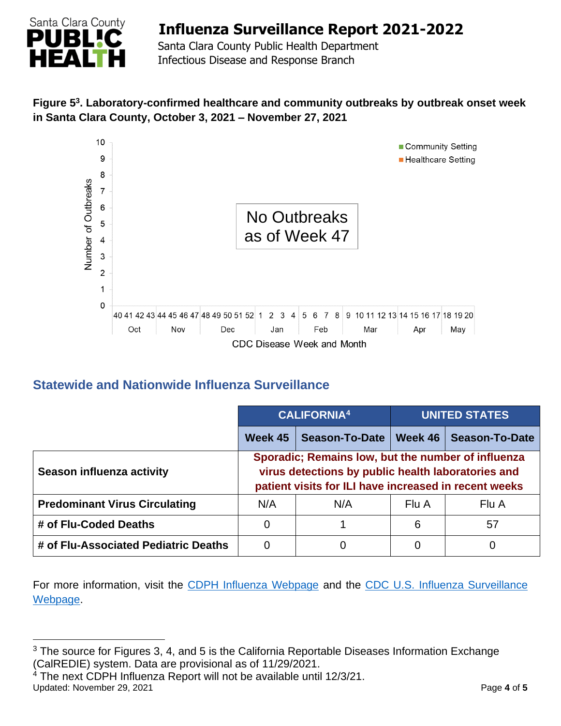

Santa Clara County Public Health Department Infectious Disease and Response Branch

### **Figure 5 3 . Laboratory-confirmed healthcare and community outbreaks by outbreak onset week in Santa Clara County, October 3, 2021 – November 27, 2021**



### **Statewide and Nationwide Influenza Surveillance**

|                                      |                                                                                                                                                                   | <b>CALIFORNIA4</b>    |         | <b>UNITED STATES</b>  |  |
|--------------------------------------|-------------------------------------------------------------------------------------------------------------------------------------------------------------------|-----------------------|---------|-----------------------|--|
|                                      | Week 45                                                                                                                                                           | <b>Season-To-Date</b> | Week 46 | <b>Season-To-Date</b> |  |
| Season influenza activity            | Sporadic; Remains low, but the number of influenza<br>virus detections by public health laboratories and<br>patient visits for ILI have increased in recent weeks |                       |         |                       |  |
| <b>Predominant Virus Circulating</b> | N/A                                                                                                                                                               | N/A                   | Flu A   | Flu A                 |  |
| # of Flu-Coded Deaths                | 0                                                                                                                                                                 |                       | 6       | 57                    |  |
| # of Flu-Associated Pediatric Deaths | 0                                                                                                                                                                 | Ω                     |         | O                     |  |

For more information, visit the [CDPH Influenza Webpage](http://www.cdph.ca.gov/Programs/CID/DCDC/Pages/Immunization/Influenza.aspx) and the CDC U.S. Influenza Surveillance [Webpage.](http://www.cdc.gov/flu/weekly/)

<sup>&</sup>lt;sup>3</sup> The source for Figures 3, 4, and 5 is the California Reportable Diseases Information Exchange (CalREDIE) system. Data are provisional as of 11/29/2021.

Updated: November 29, 2021 **Page 1** of 5  $4$  The next CDPH Influenza Report will not be available until 12/3/21.